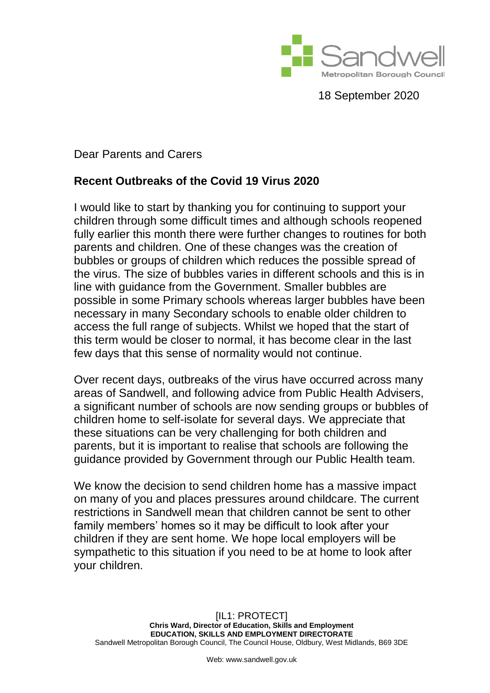

18 September 2020

Dear Parents and Carers

## **Recent Outbreaks of the Covid 19 Virus 2020**

I would like to start by thanking you for continuing to support your children through some difficult times and although schools reopened fully earlier this month there were further changes to routines for both parents and children. One of these changes was the creation of bubbles or groups of children which reduces the possible spread of the virus. The size of bubbles varies in different schools and this is in line with guidance from the Government. Smaller bubbles are possible in some Primary schools whereas larger bubbles have been necessary in many Secondary schools to enable older children to access the full range of subjects. Whilst we hoped that the start of this term would be closer to normal, it has become clear in the last few days that this sense of normality would not continue.

Over recent days, outbreaks of the virus have occurred across many areas of Sandwell, and following advice from Public Health Advisers, a significant number of schools are now sending groups or bubbles of children home to self-isolate for several days. We appreciate that these situations can be very challenging for both children and parents, but it is important to realise that schools are following the guidance provided by Government through our Public Health team.

We know the decision to send children home has a massive impact on many of you and places pressures around childcare. The current restrictions in Sandwell mean that children cannot be sent to other family members' homes so it may be difficult to look after your children if they are sent home. We hope local employers will be sympathetic to this situation if you need to be at home to look after your children.